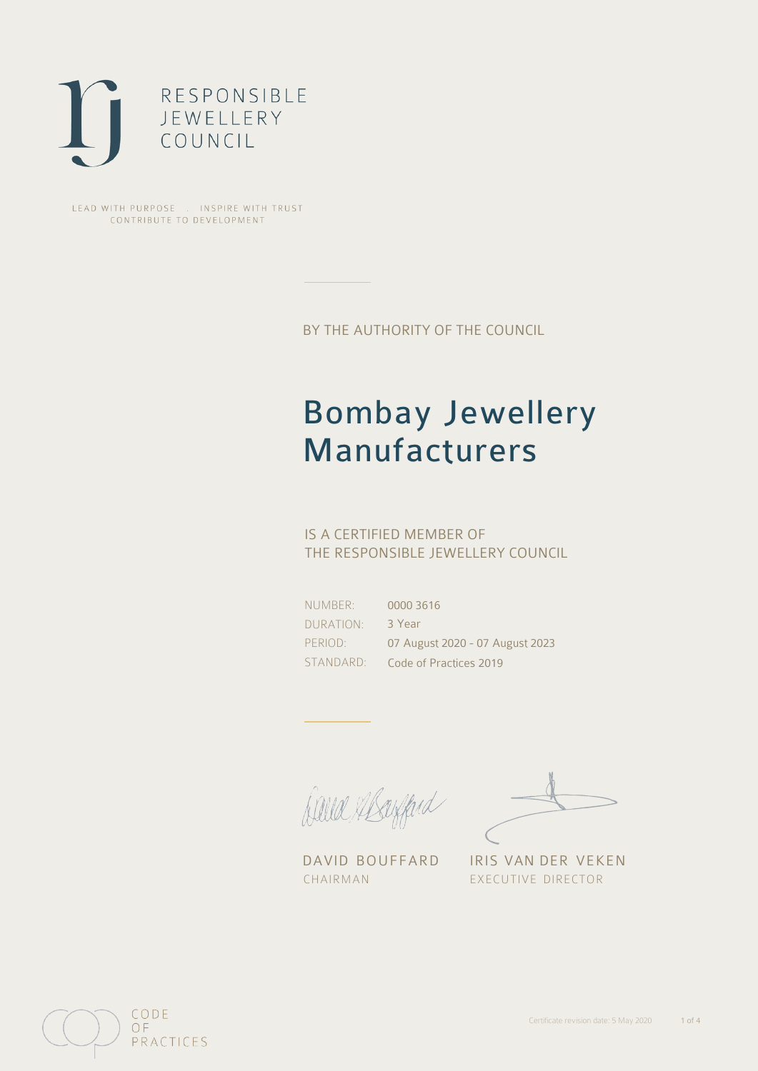

LEAD WITH PURPOSE . INSPIRE WITH TRUST CONTRIBUTE TO DEVELOPMENT

BY THE AUTHORITY OF THE COUNCIL

## Bombay Jewellery Manufacturers

### IS A CERTIFIED MEMBER OF THE RESPONSIBLE JEWELLERY COUNCIL

NUMBER: DURATION: PERIOD: STANDARD:

0000 3616 3 Year 07 August 2020 - 07 August 2023 Code of Practices 2019

Balla Shayfard

DAVID BOUFFARD IRIS VAN DER VEKEN CHAIRMAN EXECUTIVE DIRECTOR

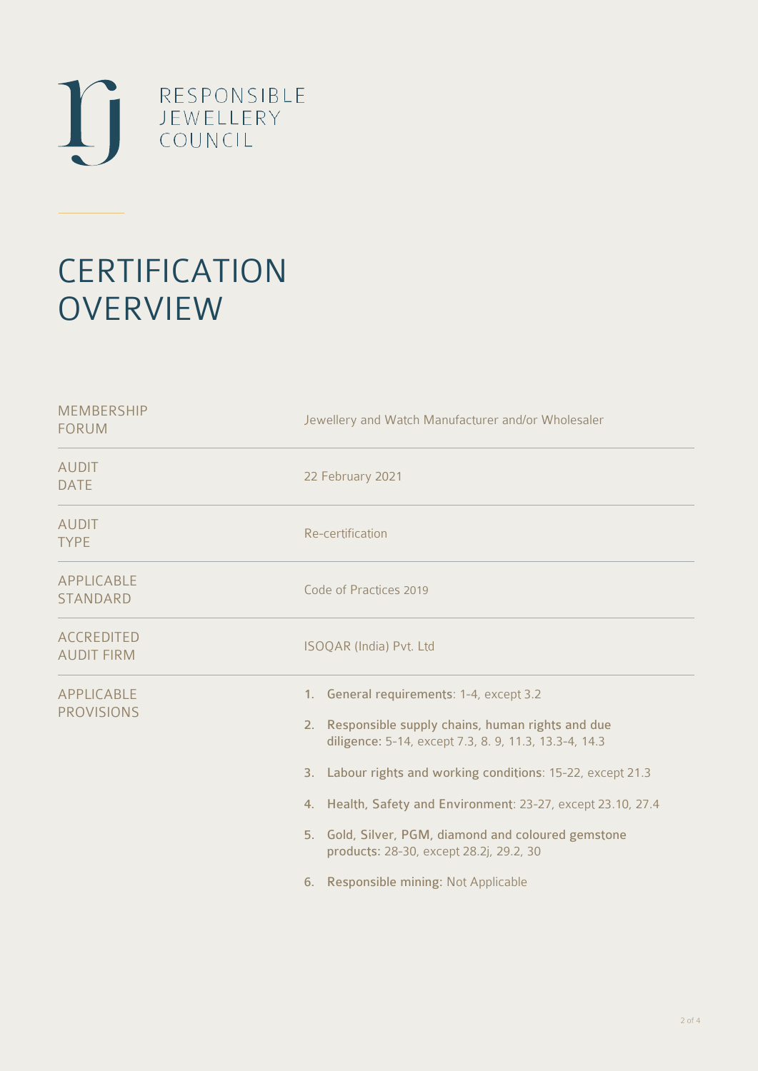

# **CERTIFICATION OVERVIEW**

| <b>MEMBERSHIP</b><br><b>FORUM</b>      | Jewellery and Watch Manufacturer and/or Wholesaler                                                                                                                                                                                                                                                                                                                                                                                |
|----------------------------------------|-----------------------------------------------------------------------------------------------------------------------------------------------------------------------------------------------------------------------------------------------------------------------------------------------------------------------------------------------------------------------------------------------------------------------------------|
| <b>AUDIT</b><br><b>DATE</b>            | 22 February 2021                                                                                                                                                                                                                                                                                                                                                                                                                  |
| <b>AUDIT</b><br><b>TYPE</b>            | Re-certification                                                                                                                                                                                                                                                                                                                                                                                                                  |
| <b>APPLICABLE</b><br><b>STANDARD</b>   | Code of Practices 2019                                                                                                                                                                                                                                                                                                                                                                                                            |
| <b>ACCREDITED</b><br><b>AUDIT FIRM</b> | ISOQAR (India) Pvt. Ltd                                                                                                                                                                                                                                                                                                                                                                                                           |
| <b>APPLICABLE</b><br><b>PROVISIONS</b> | 1. General requirements: 1-4, except 3.2<br>2. Responsible supply chains, human rights and due<br>diligence: 5-14, except 7.3, 8. 9, 11.3, 13.3-4, 14.3<br>3. Labour rights and working conditions: 15-22, except 21.3<br>4. Health, Safety and Environment: 23-27, except 23.10, 27.4<br>5. Gold, Silver, PGM, diamond and coloured gemstone<br>products: 28-30, except 28.2j, 29.2, 30<br>6. Responsible mining: Not Applicable |
|                                        |                                                                                                                                                                                                                                                                                                                                                                                                                                   |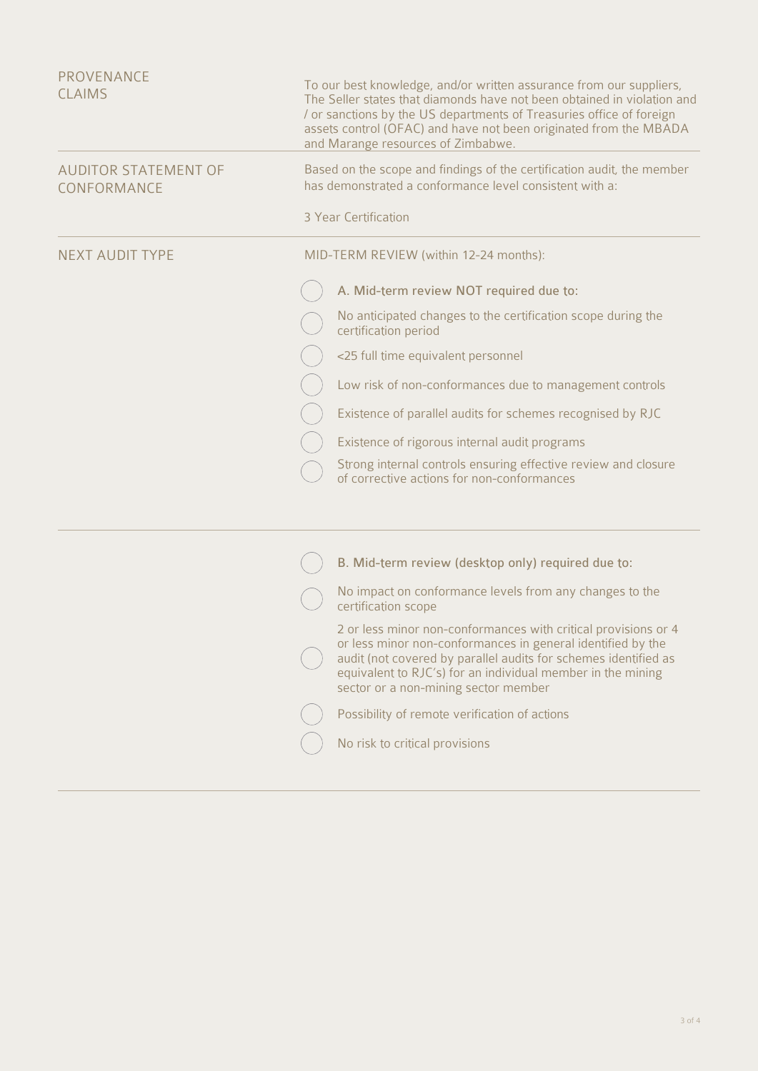| PROVENANCE<br><b>CLAIMS</b>                | To our best knowledge, and/or written assurance from our suppliers,<br>The Seller states that diamonds have not been obtained in violation and<br>/ or sanctions by the US departments of Treasuries office of foreign<br>assets control (OFAC) and have not been originated from the MBADA<br>and Marange resources of Zimbabwe. |
|--------------------------------------------|-----------------------------------------------------------------------------------------------------------------------------------------------------------------------------------------------------------------------------------------------------------------------------------------------------------------------------------|
| <b>AUDITOR STATEMENT OF</b><br>CONFORMANCE | Based on the scope and findings of the certification audit, the member<br>has demonstrated a conformance level consistent with a:                                                                                                                                                                                                 |
|                                            | 3 Year Certification                                                                                                                                                                                                                                                                                                              |
| NEXT AUDIT TYPE                            | MID-TERM REVIEW (within 12-24 months):                                                                                                                                                                                                                                                                                            |
|                                            | A. Mid-term review NOT required due to:                                                                                                                                                                                                                                                                                           |
|                                            | No anticipated changes to the certification scope during the<br>certification period                                                                                                                                                                                                                                              |
|                                            | <25 full time equivalent personnel                                                                                                                                                                                                                                                                                                |
|                                            | Low risk of non-conformances due to management controls                                                                                                                                                                                                                                                                           |
|                                            | Existence of parallel audits for schemes recognised by RJC                                                                                                                                                                                                                                                                        |
|                                            | Existence of rigorous internal audit programs                                                                                                                                                                                                                                                                                     |
|                                            | Strong internal controls ensuring effective review and closure<br>of corrective actions for non-conformances                                                                                                                                                                                                                      |
|                                            |                                                                                                                                                                                                                                                                                                                                   |
|                                            | B. Mid-term review (desktop only) required due to:                                                                                                                                                                                                                                                                                |
|                                            | No impact on conformance levels from any changes to the<br>certification scope                                                                                                                                                                                                                                                    |
|                                            | 2 or less minor non-conformances with critical provisions or 4<br>or less minor non-conformances in general identified by the<br>audit (not covered by parallel audits for schemes identified as<br>equivalent to RJC's) for an individual member in the mining<br>sector or a non-mining sector member                           |
|                                            | Possibility of remote verification of actions                                                                                                                                                                                                                                                                                     |

 $\bigcirc$  No risk to critical provisions